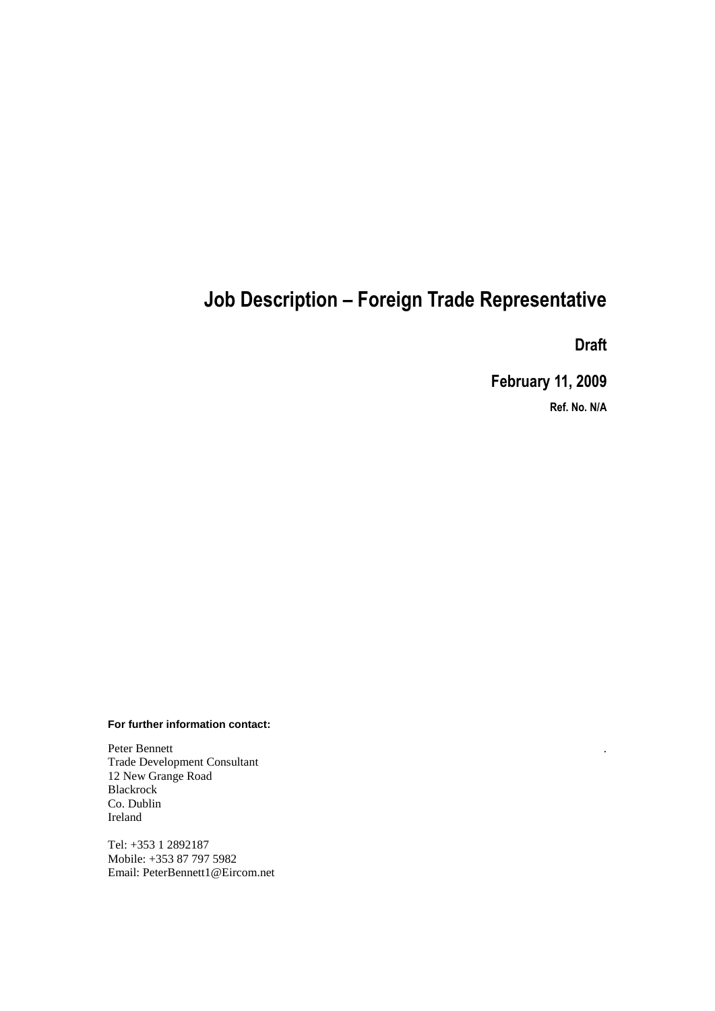# **Job Description – Foreign Trade Representative**

**Draft**

.

**February 11, 2009**

**Ref. No. N/A**

#### **For further information contact:**

Peter Bennett Trade Development Consultant 12 New Grange Road Blackrock Co. Dublin Ireland

Tel: +353 1 2892187 Mobile: +353 87 797 5982 Email: PeterBennett1@Eircom.net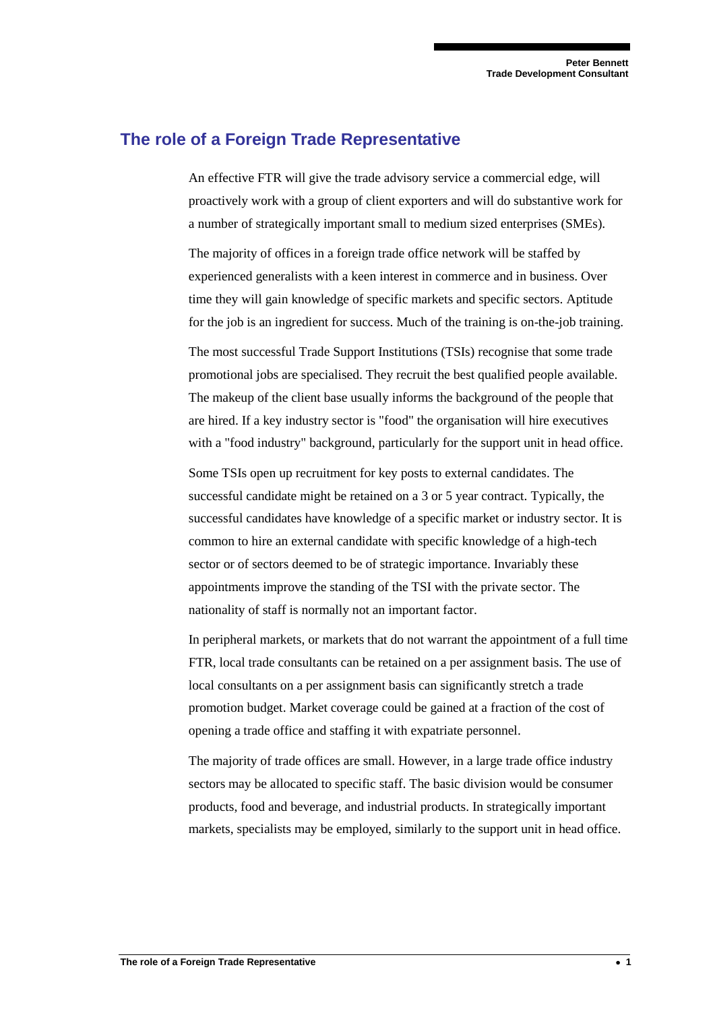## **The role of a Foreign Trade Representative**

An effective FTR will give the trade advisory service a commercial edge, will proactively work with a group of client exporters and will do substantive work for a number of strategically important small to medium sized enterprises (SMEs).

The majority of offices in a foreign trade office network will be staffed by experienced generalists with a keen interest in commerce and in business. Over time they will gain knowledge of specific markets and specific sectors. Aptitude for the job is an ingredient for success. Much of the training is on-the-job training.

The most successful Trade Support Institutions (TSIs) recognise that some trade promotional jobs are specialised. They recruit the best qualified people available. The makeup of the client base usually informs the background of the people that are hired. If a key industry sector is "food" the organisation will hire executives with a "food industry" background, particularly for the support unit in head office.

Some TSIs open up recruitment for key posts to external candidates. The successful candidate might be retained on a 3 or 5 year contract. Typically, the successful candidates have knowledge of a specific market or industry sector. It is common to hire an external candidate with specific knowledge of a high-tech sector or of sectors deemed to be of strategic importance. Invariably these appointments improve the standing of the TSI with the private sector. The nationality of staff is normally not an important factor.

In peripheral markets, or markets that do not warrant the appointment of a full time FTR, local trade consultants can be retained on a per assignment basis. The use of local consultants on a per assignment basis can significantly stretch a trade promotion budget. Market coverage could be gained at a fraction of the cost of opening a trade office and staffing it with expatriate personnel.

The majority of trade offices are small. However, in a large trade office industry sectors may be allocated to specific staff. The basic division would be consumer products, food and beverage, and industrial products. In strategically important markets, specialists may be employed, similarly to the support unit in head office.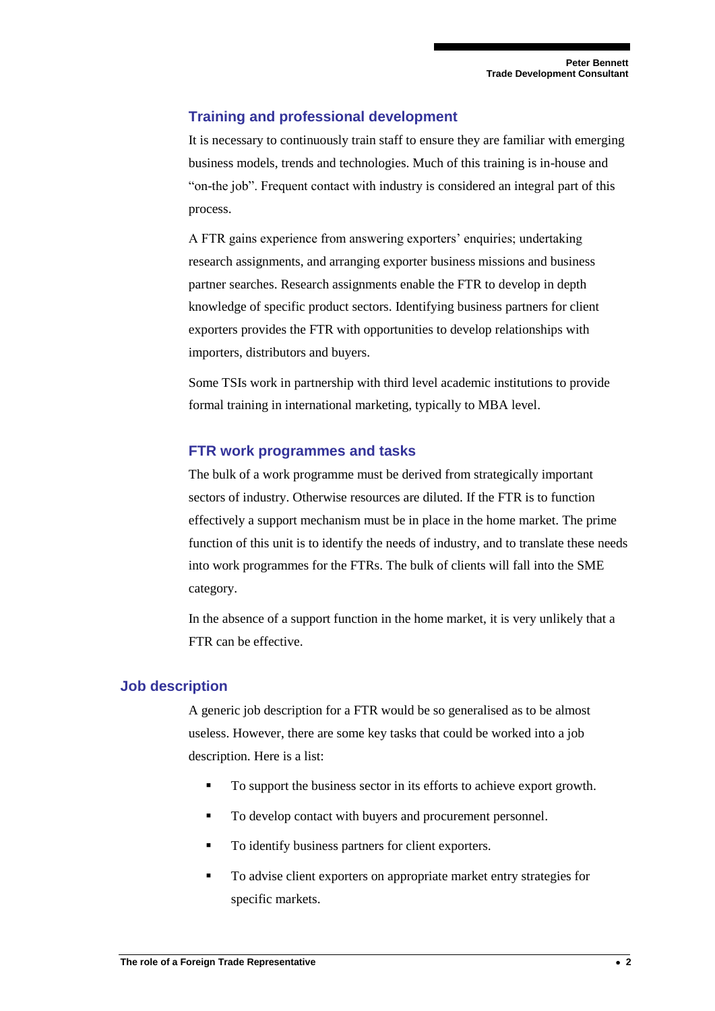### **Training and professional development**

It is necessary to continuously train staff to ensure they are familiar with emerging business models, trends and technologies. Much of this training is in-house and "on-the job". Frequent contact with industry is considered an integral part of this process.

A FTR gains experience from answering exporters' enquiries; undertaking research assignments, and arranging exporter business missions and business partner searches. Research assignments enable the FTR to develop in depth knowledge of specific product sectors. Identifying business partners for client exporters provides the FTR with opportunities to develop relationships with importers, distributors and buyers.

Some TSIs work in partnership with third level academic institutions to provide formal training in international marketing, typically to MBA level.

#### **FTR work programmes and tasks**

The bulk of a work programme must be derived from strategically important sectors of industry. Otherwise resources are diluted. If the FTR is to function effectively a support mechanism must be in place in the home market. The prime function of this unit is to identify the needs of industry, and to translate these needs into work programmes for the FTRs. The bulk of clients will fall into the SME category.

In the absence of a support function in the home market, it is very unlikely that a FTR can be effective.

#### **Job description**

A generic job description for a FTR would be so generalised as to be almost useless. However, there are some key tasks that could be worked into a job description. Here is a list:

- To support the business sector in its efforts to achieve export growth.
- To develop contact with buyers and procurement personnel.
- To identify business partners for client exporters.
- To advise client exporters on appropriate market entry strategies for specific markets.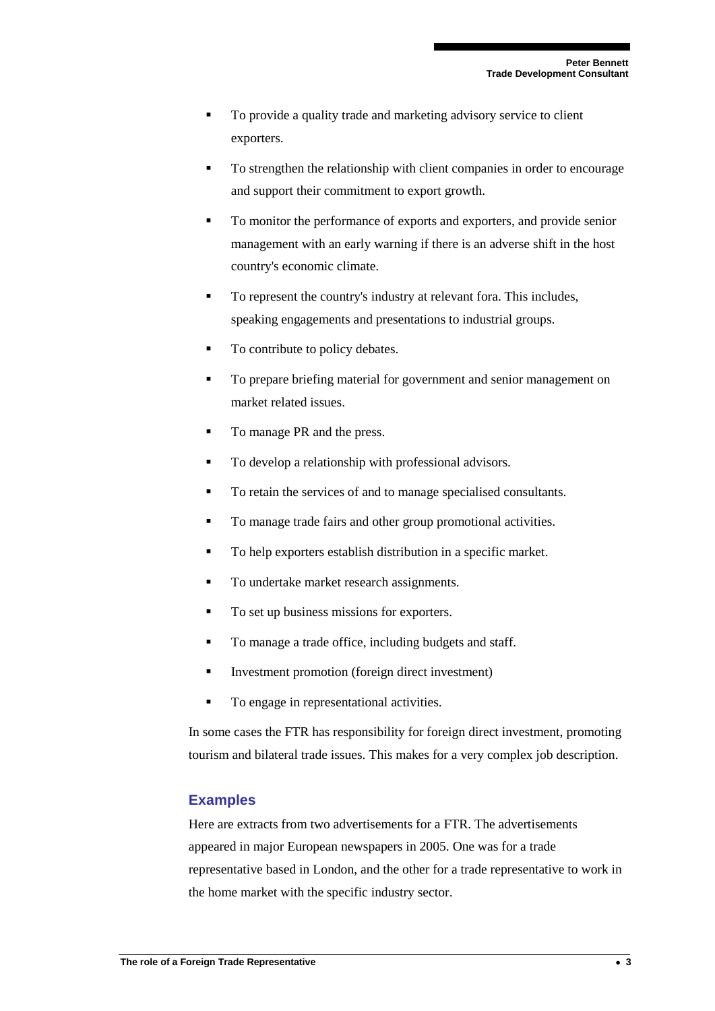- To provide a quality trade and marketing advisory service to client exporters.
- To strengthen the relationship with client companies in order to encourage and support their commitment to export growth.
- To monitor the performance of exports and exporters, and provide senior management with an early warning if there is an adverse shift in the host country's economic climate.
- To represent the country's industry at relevant fora. This includes, speaking engagements and presentations to industrial groups.
- To contribute to policy debates.
- To prepare briefing material for government and senior management on market related issues.
- To manage PR and the press.
- To develop a relationship with professional advisors.
- To retain the services of and to manage specialised consultants.
- To manage trade fairs and other group promotional activities.
- To help exporters establish distribution in a specific market.
- To undertake market research assignments.
- To set up business missions for exporters.
- To manage a trade office, including budgets and staff.
- Investment promotion (foreign direct investment)
- To engage in representational activities.

In some cases the FTR has responsibility for foreign direct investment, promoting tourism and bilateral trade issues. This makes for a very complex job description.

#### **Examples**

Here are extracts from two advertisements for a FTR. The advertisements appeared in major European newspapers in 2005. One was for a trade representative based in London, and the other for a trade representative to work in the home market with the specific industry sector.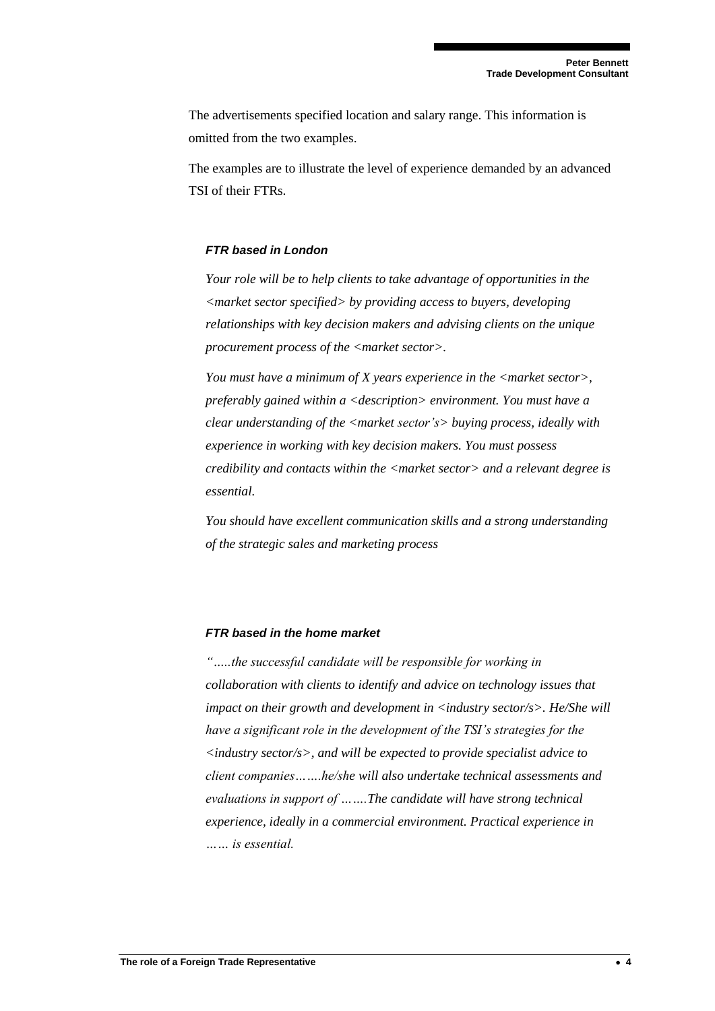The advertisements specified location and salary range. This information is omitted from the two examples.

The examples are to illustrate the level of experience demanded by an advanced TSI of their FTRs.

#### *FTR based in London*

*Your role will be to help clients to take advantage of opportunities in the <market sector specified> by providing access to buyers, developing relationships with key decision makers and advising clients on the unique procurement process of the <market sector>.*

*You must have a minimum of X years experience in the <market sector>, preferably gained within a <description> environment. You must have a clear understanding of the <market sector's> buying process, ideally with experience in working with key decision makers. You must possess credibility and contacts within the <market sector> and a relevant degree is essential.*

*You should have excellent communication skills and a strong understanding of the strategic sales and marketing process* 

#### *FTR based in the home market*

*"…..the successful candidate will be responsible for working in collaboration with clients to identify and advice on technology issues that impact on their growth and development in <industry sector/s>. He/She will have a significant role in the development of the TSI's strategies for the <industry sector/s>, and will be expected to provide specialist advice to client companies…….he/she will also undertake technical assessments and evaluations in support of …….The candidate will have strong technical experience, ideally in a commercial environment. Practical experience in …… is essential.*